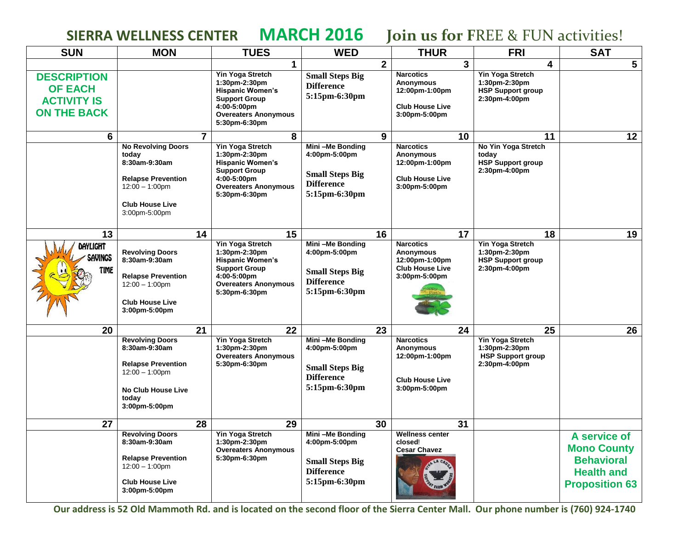**SIERRA WELLNESS CENTER MARCH 2016 Join us for F**REE & FUN activities!

| <b>SUN</b>                                                                       | <b>MON</b>                                                                                                                                       |                | <b>TUES</b>                                                                                                                                         | <b>WED</b>                                                                                       |                | <b>THUR</b>                                                                                       |    | <b>FRI</b>                                                                            | <b>SAT</b>                                                                                            |
|----------------------------------------------------------------------------------|--------------------------------------------------------------------------------------------------------------------------------------------------|----------------|-----------------------------------------------------------------------------------------------------------------------------------------------------|--------------------------------------------------------------------------------------------------|----------------|---------------------------------------------------------------------------------------------------|----|---------------------------------------------------------------------------------------|-------------------------------------------------------------------------------------------------------|
|                                                                                  |                                                                                                                                                  |                | $\mathbf 1$                                                                                                                                         |                                                                                                  | $\overline{2}$ |                                                                                                   | 3  | 4                                                                                     | $5\phantom{.0}$                                                                                       |
| <b>DESCRIPTION</b><br><b>OF EACH</b><br><b>ACTIVITY IS</b><br><b>ON THE BACK</b> |                                                                                                                                                  |                | Yin Yoga Stretch<br>1:30pm-2:30pm<br><b>Hispanic Women's</b><br><b>Support Group</b><br>4:00-5:00pm<br><b>Overeaters Anonymous</b><br>5:30pm-6:30pm | <b>Small Steps Big</b><br><b>Difference</b><br>5:15pm-6:30pm                                     |                | <b>Narcotics</b><br><b>Anonymous</b><br>12:00pm-1:00pm<br><b>Club House Live</b><br>3:00pm-5:00pm |    | Yin Yoga Stretch<br>1:30pm-2:30pm<br><b>HSP Support group</b><br>2:30pm-4:00pm        |                                                                                                       |
| 6                                                                                |                                                                                                                                                  | $\overline{7}$ | 8                                                                                                                                                   |                                                                                                  | 9              |                                                                                                   | 10 | 11                                                                                    | 12                                                                                                    |
|                                                                                  | <b>No Revolving Doors</b><br>today<br>8:30am-9:30am<br><b>Relapse Prevention</b><br>$12:00 - 1:00$ pm<br><b>Club House Live</b><br>3:00pm-5:00pm |                | Yin Yoga Stretch<br>1:30pm-2:30pm<br><b>Hispanic Women's</b><br><b>Support Group</b><br>4:00-5:00pm<br><b>Overeaters Anonymous</b><br>5:30pm-6:30pm | Mini-Me Bonding<br>4:00pm-5:00pm<br><b>Small Steps Big</b><br><b>Difference</b><br>5:15pm-6:30pm |                | <b>Narcotics</b><br><b>Anonymous</b><br>12:00pm-1:00pm<br><b>Club House Live</b><br>3:00pm-5:00pm |    | No Yin Yoga Stretch<br>today<br>HSP Support group<br>2:30pm-4:00pm                    |                                                                                                       |
| 13                                                                               |                                                                                                                                                  | 14             | 15                                                                                                                                                  |                                                                                                  | 16             |                                                                                                   | 17 | 18                                                                                    | 19                                                                                                    |
| DAYLIGHT<br>SAVINGS<br><b>TIME</b>                                               | <b>Revolving Doors</b><br>8:30am-9:30am<br><b>Relapse Prevention</b><br>$12:00 - 1:00$ pm<br><b>Club House Live</b><br>3:00pm-5:00pm             |                | Yin Yoga Stretch<br>1:30pm-2:30pm<br><b>Hispanic Women's</b><br><b>Support Group</b><br>4:00-5:00pm<br><b>Overeaters Anonymous</b><br>5:30pm-6:30pm | Mini-Me Bonding<br>4:00pm-5:00pm<br><b>Small Steps Big</b><br><b>Difference</b><br>5:15pm-6:30pm |                | <b>Narcotics</b><br><b>Anonymous</b><br>12:00pm-1:00pm<br><b>Club House Live</b><br>3:00pm-5:00pm |    | Yin Yoga Stretch<br>1:30pm-2:30pm<br><b>HSP Support group</b><br>2:30pm-4:00pm        |                                                                                                       |
| 20                                                                               |                                                                                                                                                  | 21             | 22                                                                                                                                                  |                                                                                                  | 23             |                                                                                                   | 24 | 25                                                                                    | 26                                                                                                    |
|                                                                                  | <b>Revolving Doors</b><br>8:30am-9:30am<br><b>Relapse Prevention</b><br>$12:00 - 1:00$ pm<br><b>No Club House Live</b><br>today<br>3:00pm-5:00pm |                | Yin Yoga Stretch<br>1:30pm-2:30pm<br><b>Overeaters Anonymous</b><br>5:30pm-6:30pm                                                                   | Mini-Me Bonding<br>4:00pm-5:00pm<br><b>Small Steps Big</b><br><b>Difference</b><br>5:15pm-6:30pm |                | <b>Narcotics</b><br>Anonymous<br>12:00pm-1:00pm<br><b>Club House Live</b><br>3:00pm-5:00pm        |    | <b>Yin Yoga Stretch</b><br>1:30pm-2:30pm<br><b>HSP Support group</b><br>2:30pm-4:00pm |                                                                                                       |
| 27                                                                               |                                                                                                                                                  | 28             | 29                                                                                                                                                  |                                                                                                  | 30             |                                                                                                   | 31 |                                                                                       |                                                                                                       |
|                                                                                  | <b>Revolving Doors</b><br>8:30am-9:30am<br><b>Relapse Prevention</b><br>$12:00 - 1:00$ pm<br><b>Club House Live</b><br>3:00pm-5:00pm             |                | <b>Yin Yoga Stretch</b><br>1:30pm-2:30pm<br><b>Overeaters Anonymous</b><br>5:30pm-6:30pm                                                            | Mini-Me Bonding<br>4:00pm-5:00pm<br><b>Small Steps Big</b><br><b>Difference</b><br>5:15pm-6:30pm |                | <b>Wellness center</b><br>closed!<br><b>Cesar Chavez</b>                                          |    |                                                                                       | A service of<br><b>Mono County</b><br><b>Behavioral</b><br><b>Health and</b><br><b>Proposition 63</b> |

**Our address is 52 Old Mammoth Rd. and is located on the second floor of the Sierra Center Mall. Our phone number is (760) 924-1740**